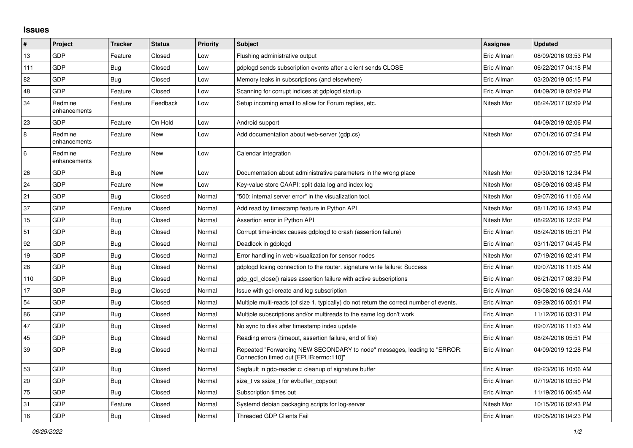## **Issues**

| #       | Project                 | <b>Tracker</b> | <b>Status</b> | <b>Priority</b> | <b>Subject</b>                                                                                                      | <b>Assignee</b> | <b>Updated</b>      |
|---------|-------------------------|----------------|---------------|-----------------|---------------------------------------------------------------------------------------------------------------------|-----------------|---------------------|
| 13      | GDP                     | Feature        | Closed        | Low             | Flushing administrative output                                                                                      | Eric Allman     | 08/09/2016 03:53 PM |
| 111     | GDP                     | <b>Bug</b>     | Closed        | Low             | gdplogd sends subscription events after a client sends CLOSE                                                        | Eric Allman     | 06/22/2017 04:18 PM |
| 82      | GDP                     | <b>Bug</b>     | Closed        | Low             | Memory leaks in subscriptions (and elsewhere)                                                                       | Eric Allman     | 03/20/2019 05:15 PM |
| 48      | GDP                     | Feature        | Closed        | Low             | Scanning for corrupt indices at gdplogd startup                                                                     | Eric Allman     | 04/09/2019 02:09 PM |
| 34      | Redmine<br>enhancements | Feature        | Feedback      | Low             | Setup incoming email to allow for Forum replies, etc.                                                               | Nitesh Mor      | 06/24/2017 02:09 PM |
| 23      | GDP                     | Feature        | On Hold       | Low             | Android support                                                                                                     |                 | 04/09/2019 02:06 PM |
| 8       | Redmine<br>enhancements | Feature        | New           | Low             | Add documentation about web-server (gdp.cs)                                                                         | Nitesh Mor      | 07/01/2016 07:24 PM |
| $\,6\,$ | Redmine<br>enhancements | Feature        | New           | Low             | Calendar integration                                                                                                |                 | 07/01/2016 07:25 PM |
| 26      | GDP                     | <b>Bug</b>     | New           | Low             | Documentation about administrative parameters in the wrong place                                                    | Nitesh Mor      | 09/30/2016 12:34 PM |
| 24      | GDP                     | Feature        | New           | Low             | Key-value store CAAPI: split data log and index log                                                                 | Nitesh Mor      | 08/09/2016 03:48 PM |
| 21      | GDP                     | <b>Bug</b>     | Closed        | Normal          | '500: internal server error" in the visualization tool.                                                             | Nitesh Mor      | 09/07/2016 11:06 AM |
| 37      | GDP                     | Feature        | Closed        | Normal          | Add read by timestamp feature in Python API                                                                         | Nitesh Mor      | 08/11/2016 12:43 PM |
| 15      | GDP                     | <b>Bug</b>     | Closed        | Normal          | Assertion error in Python API                                                                                       | Nitesh Mor      | 08/22/2016 12:32 PM |
| 51      | GDP                     | <b>Bug</b>     | Closed        | Normal          | Corrupt time-index causes gdplogd to crash (assertion failure)                                                      | Eric Allman     | 08/24/2016 05:31 PM |
| 92      | <b>GDP</b>              | Bug            | Closed        | Normal          | Deadlock in gdplogd                                                                                                 | Eric Allman     | 03/11/2017 04:45 PM |
| 19      | <b>GDP</b>              | Bug            | Closed        | Normal          | Error handling in web-visualization for sensor nodes                                                                | Nitesh Mor      | 07/19/2016 02:41 PM |
| 28      | GDP                     | <b>Bug</b>     | Closed        | Normal          | gdplogd losing connection to the router, signature write failure: Success                                           | Eric Allman     | 09/07/2016 11:05 AM |
| 110     | GDP                     | <b>Bug</b>     | Closed        | Normal          | gdp gcl close() raises assertion failure with active subscriptions                                                  | Eric Allman     | 06/21/2017 08:39 PM |
| 17      | GDP                     | Bug            | Closed        | Normal          | Issue with gcl-create and log subscription                                                                          | Eric Allman     | 08/08/2016 08:24 AM |
| 54      | <b>GDP</b>              | Bug            | Closed        | Normal          | Multiple multi-reads (of size 1, typically) do not return the correct number of events.                             | Eric Allman     | 09/29/2016 05:01 PM |
| 86      | GDP                     | <b>Bug</b>     | Closed        | Normal          | Multiple subscriptions and/or multireads to the same log don't work                                                 | Eric Allman     | 11/12/2016 03:31 PM |
| 47      | <b>GDP</b>              | <b>Bug</b>     | Closed        | Normal          | No sync to disk after timestamp index update                                                                        | Eric Allman     | 09/07/2016 11:03 AM |
| 45      | GDP                     | <b>Bug</b>     | Closed        | Normal          | Reading errors (timeout, assertion failure, end of file)                                                            | Eric Allman     | 08/24/2016 05:51 PM |
| 39      | <b>GDP</b>              | Bug            | Closed        | Normal          | Repeated "Forwarding NEW SECONDARY to node" messages, leading to "ERROR:<br>Connection timed out [EPLIB:errno:110]" | Eric Allman     | 04/09/2019 12:28 PM |
| 53      | GDP                     | Bug            | Closed        | Normal          | Segfault in gdp-reader.c; cleanup of signature buffer                                                               | Eric Allman     | 09/23/2016 10:06 AM |
| 20      | GDP                     | <b>Bug</b>     | Closed        | Normal          | size t vs ssize t for evbuffer copyout                                                                              | Eric Allman     | 07/19/2016 03:50 PM |
| 75      | GDP                     | <b>Bug</b>     | Closed        | Normal          | Subscription times out                                                                                              | Eric Allman     | 11/19/2016 06:45 AM |
| 31      | GDP                     | Feature        | Closed        | Normal          | Systemd debian packaging scripts for log-server                                                                     | Nitesh Mor      | 10/15/2016 02:43 PM |
| 16      | GDP                     | <b>Bug</b>     | Closed        | Normal          | <b>Threaded GDP Clients Fail</b>                                                                                    | Eric Allman     | 09/05/2016 04:23 PM |